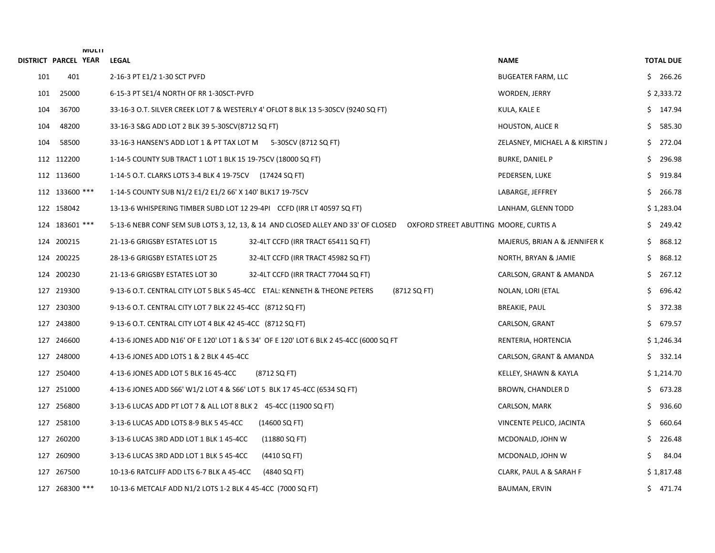| DISTRICT PARCEL YEAR |                | <b>IVIULII</b> | <b>LEGAL</b>                                                                                                               | <b>NAME</b>                     | <b>TOTAL DUE</b> |
|----------------------|----------------|----------------|----------------------------------------------------------------------------------------------------------------------------|---------------------------------|------------------|
| 101                  | 401            |                | 2-16-3 PT E1/2 1-30 SCT PVFD                                                                                               | <b>BUGEATER FARM, LLC</b>       | 266.26<br>S.     |
| 101                  | 25000          |                | 6-15-3 PT SE1/4 NORTH OF RR 1-30SCT-PVFD                                                                                   | WORDEN, JERRY                   | \$2,333.72       |
| 104                  | 36700          |                | 33-16-3 O.T. SILVER CREEK LOT 7 & WESTERLY 4' OFLOT 8 BLK 13 5-30SCV (9240 SQ FT)                                          | KULA, KALE E                    | \$147.94         |
| 104                  | 48200          |                | 33-16-3 S&G ADD LOT 2 BLK 39 5-30SCV(8712 SQ FT)                                                                           | <b>HOUSTON, ALICE R</b>         | 585.30<br>S.     |
| 104                  | 58500          |                | 33-16-3 HANSEN'S ADD LOT 1 & PT TAX LOT M 5-30SCV (8712 SQ FT)                                                             | ZELASNEY, MICHAEL A & KIRSTIN J | 272.04<br>\$.    |
|                      | 112 112200     |                | 1-14-5 COUNTY SUB TRACT 1 LOT 1 BLK 15 19-75CV (18000 SQ FT)                                                               | <b>BURKE, DANIEL P</b>          | 296.98<br>\$.    |
|                      | 112 113600     |                | 1-14-5 O.T. CLARKS LOTS 3-4 BLK 4 19-75CV (17424 SQ FT)                                                                    | PEDERSEN, LUKE                  | \$.<br>919.84    |
|                      | 112 133600 *** |                | 1-14-5 COUNTY SUB N1/2 E1/2 E1/2 66' X 140' BLK17 19-75CV                                                                  | LABARGE, JEFFREY                | \$.<br>266.78    |
|                      | 122 158042     |                | 13-13-6 WHISPERING TIMBER SUBD LOT 12 29-4PI CCFD (IRR LT 40597 SQ FT)                                                     | LANHAM, GLENN TODD              | \$1,283.04       |
|                      | 124 183601 *** |                | 5-13-6 NEBR CONF SEM SUB LOTS 3, 12, 13, & 14 AND CLOSED ALLEY AND 33' OF CLOSED<br>OXFORD STREET ABUTTING MOORE, CURTIS A |                                 | 249.42<br>S.     |
|                      | 124 200215     |                | 21-13-6 GRIGSBY ESTATES LOT 15<br>32-4LT CCFD (IRR TRACT 65411 SQ FT)                                                      | MAJERUS, BRIAN A & JENNIFER K   | 868.12<br>\$.    |
|                      | 124 200225     |                | 28-13-6 GRIGSBY ESTATES LOT 25<br>32-4LT CCFD (IRR TRACT 45982 SQ FT)                                                      | NORTH, BRYAN & JAMIE            | 868.12<br>Ś.     |
|                      | 124 200230     |                | 21-13-6 GRIGSBY ESTATES LOT 30<br>32-4LT CCFD (IRR TRACT 77044 SQ FT)                                                      | CARLSON, GRANT & AMANDA         | 267.12<br>\$     |
|                      | 127 219300     |                | 9-13-6 O.T. CENTRAL CITY LOT 5 BLK 5 45-4CC   ETAL: KENNETH & THEONE PETERS<br>(8712 SQ FT)                                | NOLAN, LORI (ETAL               | \$.<br>696.42    |
| 127                  | 230300         |                | 9-13-6 O.T. CENTRAL CITY LOT 7 BLK 22 45-4CC (8712 SQ FT)                                                                  | <b>BREAKIE, PAUL</b>            | 372.38<br>\$.    |
|                      | 127 243800     |                | 9-13-6 O.T. CENTRAL CITY LOT 4 BLK 42 45-4CC (8712 SQ FT)                                                                  | CARLSON, GRANT                  | 679.57<br>\$.    |
|                      | 127 246600     |                | 4-13-6 JONES ADD N16' OF E 120' LOT 1 & S 34' OF E 120' LOT 6 BLK 2 45-4CC (6000 SQ FT                                     | RENTERIA, HORTENCIA             | \$1,246.34       |
| 127                  | 248000         |                | 4-13-6 JONES ADD LOTS 1 & 2 BLK 4 45-4CC                                                                                   | CARLSON, GRANT & AMANDA         | \$332.14         |
|                      | 127 250400     |                | 4-13-6 JONES ADD LOT 5 BLK 16 45-4CC<br>(8712 SQ FT)                                                                       | KELLEY, SHAWN & KAYLA           | \$1,214.70       |
|                      | 127 251000     |                | 4-13-6 JONES ADD S66' W1/2 LOT 4 & S66' LOT 5 BLK 17 45-4CC (6534 SQ FT)                                                   | BROWN, CHANDLER D               | \$673.28         |
|                      | 127 256800     |                | 3-13-6 LUCAS ADD PT LOT 7 & ALL LOT 8 BLK 2 45-4CC (11900 SQ FT)                                                           | CARLSON, MARK                   | Ś.<br>936.60     |
|                      | 127 258100     |                | 3-13-6 LUCAS ADD LOTS 8-9 BLK 5 45-4CC<br>(14600 SQ FT)                                                                    | VINCENTE PELICO, JACINTA        | \$.<br>660.64    |
| 127                  | 260200         |                | 3-13-6 LUCAS 3RD ADD LOT 1 BLK 1 45-4CC<br>(11880 SQ FT)                                                                   | MCDONALD, JOHN W                | Ś.<br>226.48     |
|                      | 127 260900     |                | 3-13-6 LUCAS 3RD ADD LOT 1 BLK 5 45-4CC<br>(4410 SQ FT)                                                                    | MCDONALD, JOHN W                | 84.04<br>\$      |
|                      | 127 267500     |                | 10-13-6 RATCLIFF ADD LTS 6-7 BLK A 45-4CC<br>(4840 SQ FT)                                                                  | CLARK, PAUL A & SARAH F         | \$1,817.48       |
|                      | 127 268300 *** |                | 10-13-6 METCALF ADD N1/2 LOTS 1-2 BLK 4 45-4CC (7000 SQ FT)                                                                | BAUMAN, ERVIN                   | \$471.74         |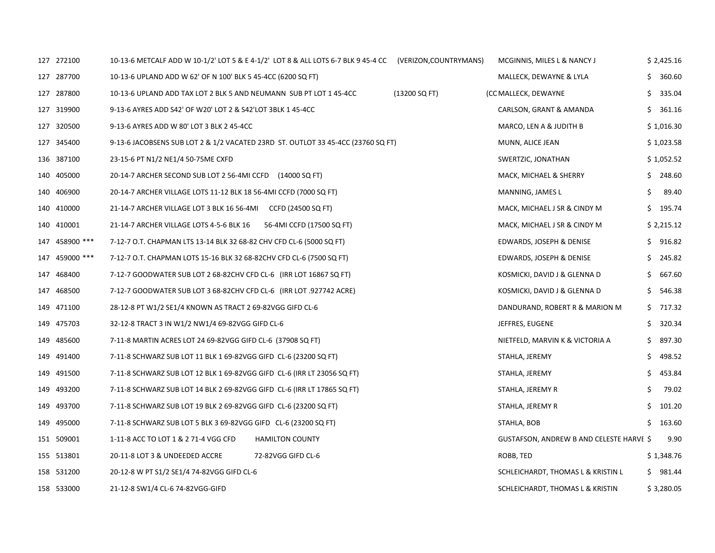| 127 272100     | 10-13-6 METCALF ADD W 10-1/2' LOT 5 & E 4-1/2' LOT 8 & ALL LOTS 6-7 BLK 9 45-4 CC (VERIZON,COUNTRYMANS) |                           |               | MCGINNIS, MILES L & NANCY J              |     | \$2,425.16 |
|----------------|---------------------------------------------------------------------------------------------------------|---------------------------|---------------|------------------------------------------|-----|------------|
| 127 287700     | 10-13-6 UPLAND ADD W 62' OF N 100' BLK 5 45-4CC (6200 SQ FT)                                            |                           |               | MALLECK, DEWAYNE & LYLA                  | S   | 360.60     |
| 127 287800     | 10-13-6 UPLAND ADD TAX LOT 2 BLK 5 AND NEUMANN SUB PT LOT 1 45-4CC                                      |                           | (13200 SQ FT) | (CC MALLECK, DEWAYNE                     | \$  | 335.04     |
| 127 319900     | 9-13-6 AYRES ADD S42' OF W20' LOT 2 & S42'LOT 3BLK 1 45-4CC                                             |                           |               | CARLSON, GRANT & AMANDA                  | \$  | 361.16     |
| 127 320500     | 9-13-6 AYRES ADD W 80' LOT 3 BLK 2 45-4CC                                                               |                           |               | MARCO, LEN A & JUDITH B                  |     | \$1,016.30 |
| 127 345400     | 9-13-6 JACOBSENS SUB LOT 2 & 1/2 VACATED 23RD ST. OUTLOT 33 45-4CC (23760 SQ FT)                        |                           |               | MUNN, ALICE JEAN                         |     | \$1,023.58 |
| 136 387100     | 23-15-6 PT N1/2 NE1/4 50-75ME CXFD                                                                      |                           |               | SWERTZIC, JONATHAN                       |     | \$1,052.52 |
| 140 405000     | 20-14-7 ARCHER SECOND SUB LOT 2 56-4MI CCFD (14000 SQ FT)                                               |                           |               | MACK, MICHAEL & SHERRY                   |     | \$248.60   |
| 140 406900     | 20-14-7 ARCHER VILLAGE LOTS 11-12 BLK 18 56-4MI CCFD (7000 SQ FT)                                       |                           |               | MANNING, JAMES L                         |     | 89.40      |
| 140 410000     | 21-14-7 ARCHER VILLAGE LOT 3 BLK 16 56-4MI CCFD (24500 SQ FT)                                           |                           |               | MACK, MICHAEL J SR & CINDY M             | \$. | 195.74     |
| 140 410001     | 21-14-7 ARCHER VILLAGE LOTS 4-5-6 BLK 16                                                                | 56-4MI CCFD (17500 SQ FT) |               | MACK, MICHAEL J SR & CINDY M             |     | \$2,215.12 |
| 147 458900 *** | 7-12-7 O.T. CHAPMAN LTS 13-14 BLK 32 68-82 CHV CFD CL-6 (5000 SQ FT)                                    |                           |               | EDWARDS, JOSEPH & DENISE                 | S   | 916.82     |
| 147 459000 *** | 7-12-7 O.T. CHAPMAN LOTS 15-16 BLK 32 68-82CHV CFD CL-6 (7500 SQ FT)                                    |                           |               | EDWARDS, JOSEPH & DENISE                 | \$  | 245.82     |
| 147 468400     | 7-12-7 GOODWATER SUB LOT 2 68-82CHV CFD CL-6 (IRR LOT 16867 SQ FT)                                      |                           |               | KOSMICKI, DAVID J & GLENNA D             | S   | 667.60     |
| 147 468500     | 7-12-7 GOODWATER SUB LOT 3 68-82CHV CFD CL-6 (IRR LOT .927742 ACRE)                                     |                           |               | KOSMICKI, DAVID J & GLENNA D             | \$  | 546.38     |
| 149 471100     | 28-12-8 PT W1/2 SE1/4 KNOWN AS TRACT 2 69-82VGG GIFD CL-6                                               |                           |               | DANDURAND, ROBERT R & MARION M           |     | $5$ 717.32 |
| 149 475703     | 32-12-8 TRACT 3 IN W1/2 NW1/4 69-82VGG GIFD CL-6                                                        |                           |               | JEFFRES, EUGENE                          | S   | 320.34     |
| 149 485600     | 7-11-8 MARTIN ACRES LOT 24 69-82VGG GIFD CL-6 (37908 SQ FT)                                             |                           |               | NIETFELD, MARVIN K & VICTORIA A          | \$  | 897.30     |
| 149 491400     | 7-11-8 SCHWARZ SUB LOT 11 BLK 1 69-82VGG GIFD CL-6 (23200 SQ FT)                                        |                           |               | STAHLA, JEREMY                           | Ŝ   | 498.52     |
| 149 491500     | 7-11-8 SCHWARZ SUB LOT 12 BLK 1 69-82VGG GIFD CL-6 (IRR LT 23056 SQ FT)                                 |                           |               | STAHLA, JEREMY                           | \$  | 453.84     |
| 149 493200     | 7-11-8 SCHWARZ SUB LOT 14 BLK 2 69-82VGG GIFD CL-6 (IRR LT 17865 SQ FT)                                 |                           |               | STAHLA, JEREMY R                         | Ŝ   | 79.02      |
| 149 493700     | 7-11-8 SCHWARZ SUB LOT 19 BLK 2 69-82VGG GIFD CL-6 (23200 SQ FT)                                        |                           |               | STAHLA, JEREMY R                         | \$  | 101.20     |
| 149 495000     | 7-11-8 SCHWARZ SUB LOT 5 BLK 3 69-82VGG GIFD CL-6 (23200 SQ FT)                                         |                           |               | STAHLA, BOB                              | \$  | 163.60     |
| 151 509001     | 1-11-8 ACC TO LOT 1 & 2 71-4 VGG CFD                                                                    | <b>HAMILTON COUNTY</b>    |               | GUSTAFSON, ANDREW B AND CELESTE HARVE \$ |     | 9.90       |
| 155 513801     | 20-11-8 LOT 3 & UNDEEDED ACCRE                                                                          | 72-82VGG GIFD CL-6        |               | ROBB, TED                                |     | \$1,348.76 |
| 158 531200     | 20-12-8 W PT S1/2 SE1/4 74-82VGG GIFD CL-6                                                              |                           |               | SCHLEICHARDT, THOMAS L & KRISTIN L       |     | \$981.44   |
| 158 533000     | 21-12-8 SW1/4 CL-6 74-82VGG-GIFD                                                                        |                           |               | SCHLEICHARDT, THOMAS L & KRISTIN         |     | \$3,280.05 |